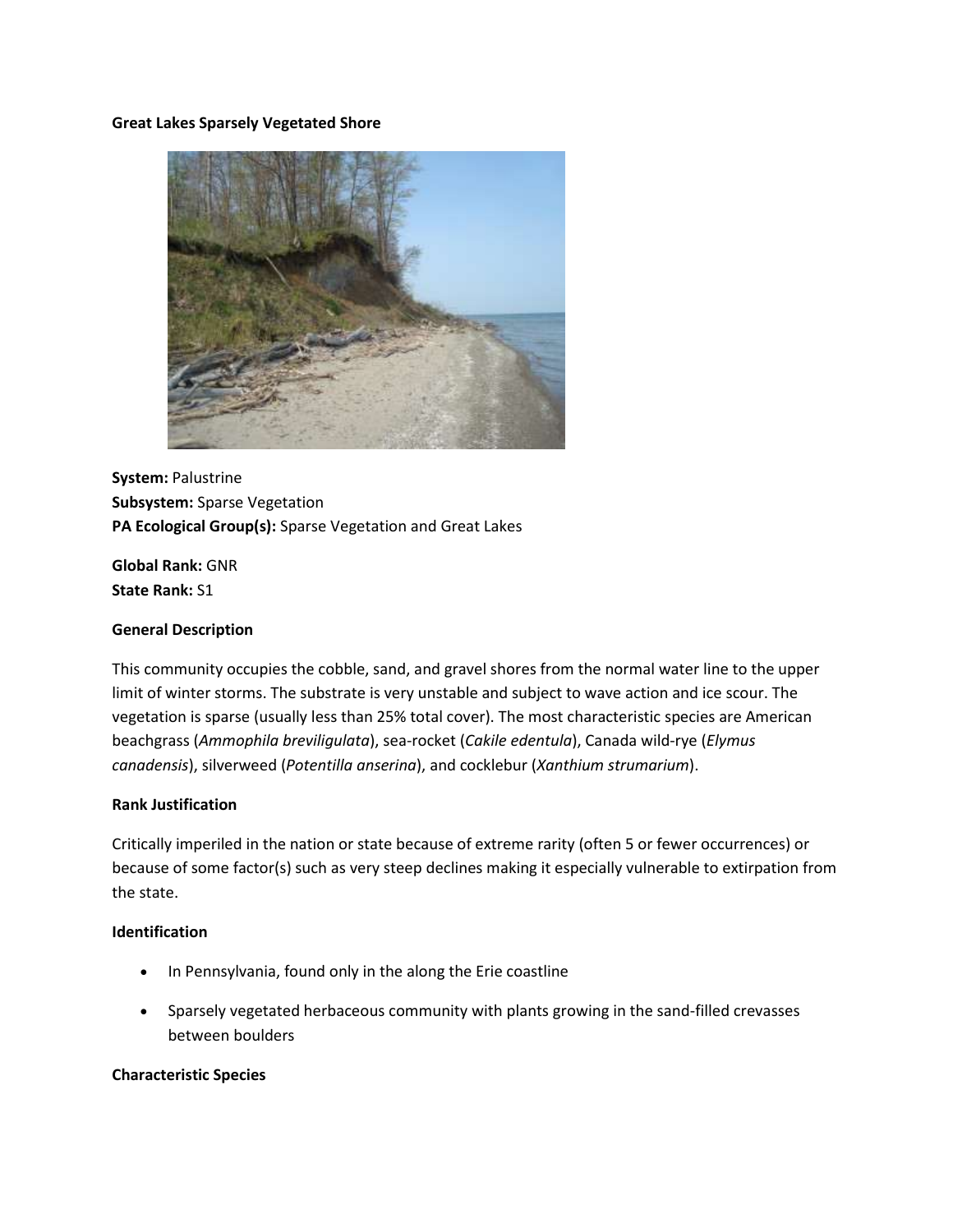#### **Great Lakes Sparsely Vegetated Shore**



**System:** Palustrine **Subsystem:** Sparse Vegetation **PA Ecological Group(s):** Sparse Vegetation and Great Lakes

**Global Rank:** GNR **State Rank:** S1

#### **General Description**

This community occupies the cobble, sand, and gravel shores from the normal water line to the upper limit of winter storms. The substrate is very unstable and subject to wave action and ice scour. The vegetation is sparse (usually less than 25% total cover). The most characteristic species are American beachgrass (*Ammophila breviligulata*), sea-rocket (*Cakile edentula*), Canada wild-rye (*Elymus canadensis*), silverweed (*Potentilla anserina*), and cocklebur (*Xanthium strumarium*).

### **Rank Justification**

Critically imperiled in the nation or state because of extreme rarity (often 5 or fewer occurrences) or because of some factor(s) such as very steep declines making it especially vulnerable to extirpation from the state.

#### **Identification**

- In Pennsylvania, found only in the along the Erie coastline
- Sparsely vegetated herbaceous community with plants growing in the sand-filled crevasses between boulders

#### **Characteristic Species**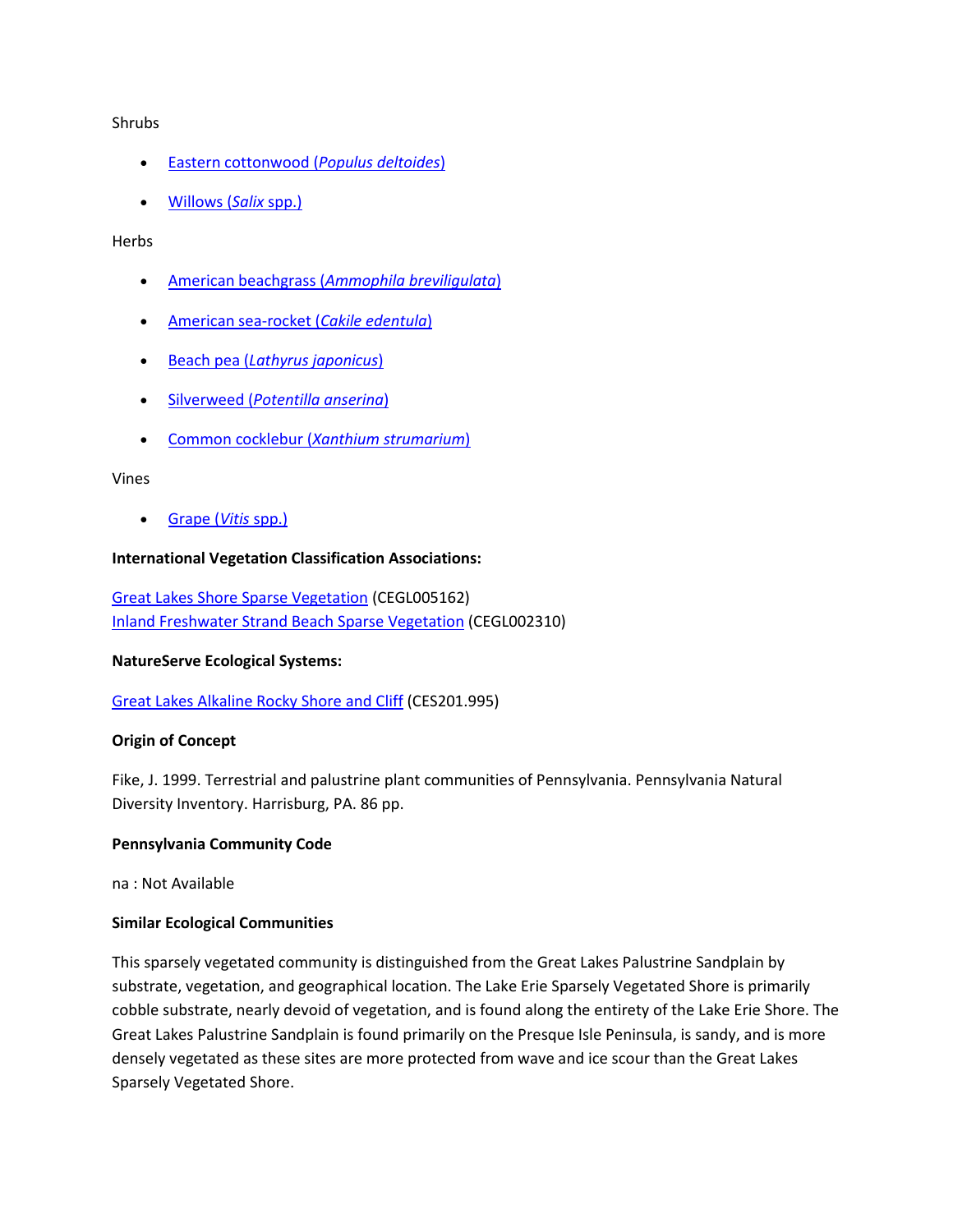#### Shrubs

- [Eastern cottonwood \(](http://www.natureserve.org/explorer/servlet/NatureServe?searchName=Populus+deltoides)*Populus deltoides*)
- [Willows \(](http://www.natureserve.org/explorer/servlet/NatureServe?searchSciOrCommonName=salix)*Salix* spp.)

### Herbs

- American beachgrass (*[Ammophila breviligulata](http://www.natureserve.org/explorer/servlet/NatureServe?searchName=Ammophila+breviligulata)*)
- [American sea-rocket \(](http://www.natureserve.org/explorer/servlet/NatureServe?searchName=Cakile+edentula)*Cakile edentula*)
- Beach pea (*[Lathyrus japonicus](http://www.natureserve.org/explorer/servlet/NatureServe?searchName=Lathyrus+japonicus)*)
- Silverweed (*[Potentilla anserina](http://www.natureserve.org/explorer/servlet/NatureServe?searchName=Potentilla+anserina)*)
- Common cocklebur (*[Xanthium strumarium](http://www.natureserve.org/explorer/servlet/NatureServe?searchName=Xanthium+strumarium)*)

#### Vines

[Grape \(](http://www.natureserve.org/explorer/servlet/NatureServe?searchSciOrCommonName=Vitis)*Vitis* spp.)

### **International Vegetation Classification Associations:**

[Great Lakes Shore Sparse Vegetation](http://www.natureserve.org/explorer/servlet/NatureServe?searchCommunityUid=ELEMENT_GLOBAL.2.685376) (CEGL005162) [Inland Freshwater Strand Beach Sparse Vegetation](http://www.natureserve.org/explorer/servlet/NatureServe?searchCommunityUid=ELEMENT_GLOBAL.2.688380) (CEGL002310)

#### **NatureServe Ecological Systems:**

[Great Lakes Alkaline Rocky Shore and Cliff](http://www.natureserve.org/explorer/servlet/NatureServe?searchSystemUid=ELEMENT_GLOBAL.2.722710) (CES201.995)

## **Origin of Concept**

Fike, J. 1999. Terrestrial and palustrine plant communities of Pennsylvania. Pennsylvania Natural Diversity Inventory. Harrisburg, PA. 86 pp.

## **Pennsylvania Community Code**

na : Not Available

## **Similar Ecological Communities**

This sparsely vegetated community is distinguished from the Great Lakes Palustrine Sandplain by substrate, vegetation, and geographical location. The Lake Erie Sparsely Vegetated Shore is primarily cobble substrate, nearly devoid of vegetation, and is found along the entirety of the Lake Erie Shore. The Great Lakes Palustrine Sandplain is found primarily on the Presque Isle Peninsula, is sandy, and is more densely vegetated as these sites are more protected from wave and ice scour than the Great Lakes Sparsely Vegetated Shore.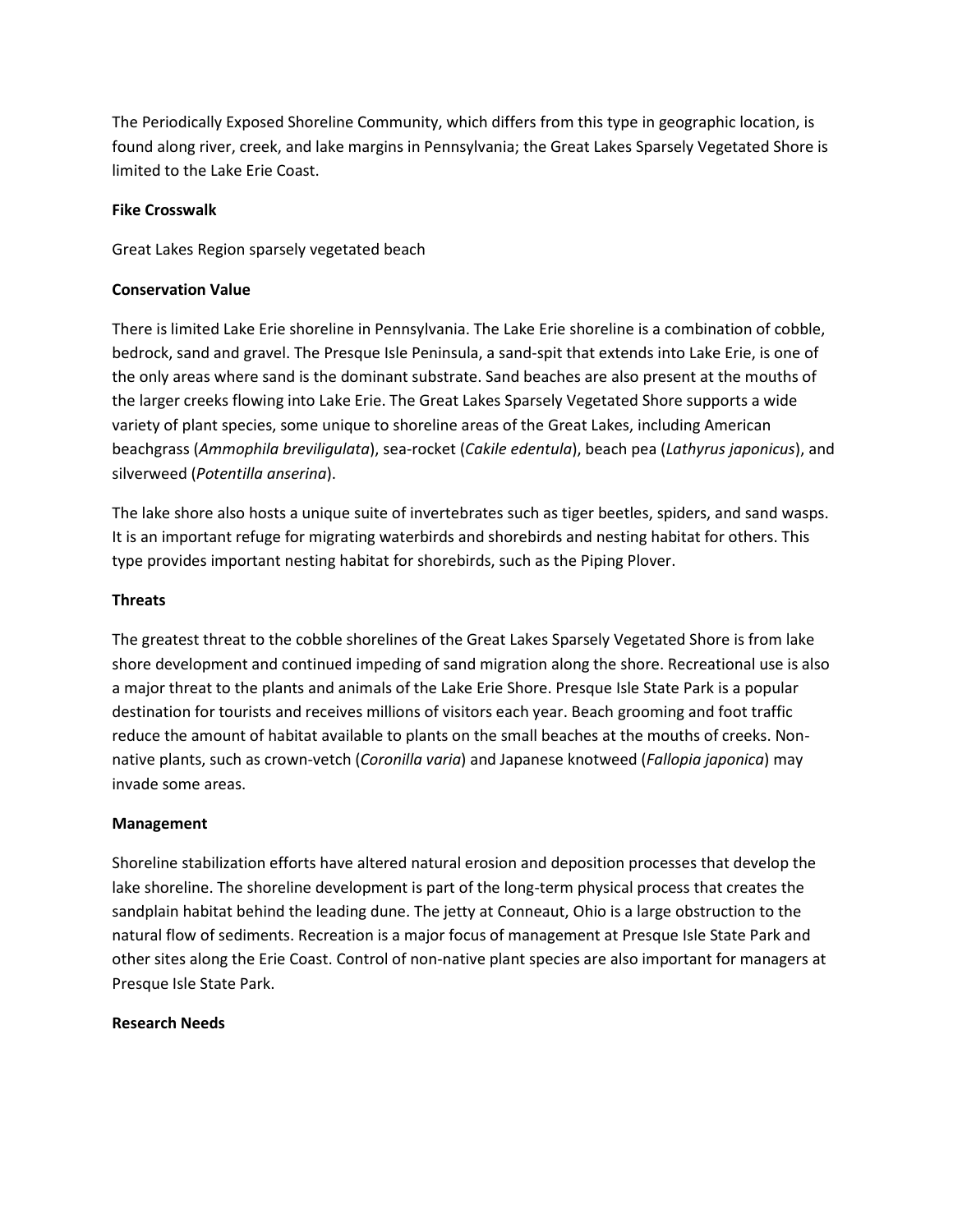The Periodically Exposed Shoreline Community, which differs from this type in geographic location, is found along river, creek, and lake margins in Pennsylvania; the Great Lakes Sparsely Vegetated Shore is limited to the Lake Erie Coast.

## **Fike Crosswalk**

Great Lakes Region sparsely vegetated beach

## **Conservation Value**

There is limited Lake Erie shoreline in Pennsylvania. The Lake Erie shoreline is a combination of cobble, bedrock, sand and gravel. The Presque Isle Peninsula, a sand-spit that extends into Lake Erie, is one of the only areas where sand is the dominant substrate. Sand beaches are also present at the mouths of the larger creeks flowing into Lake Erie. The Great Lakes Sparsely Vegetated Shore supports a wide variety of plant species, some unique to shoreline areas of the Great Lakes, including American beachgrass (*Ammophila breviligulata*), sea-rocket (*Cakile edentula*), beach pea (*Lathyrus japonicus*), and silverweed (*Potentilla anserina*).

The lake shore also hosts a unique suite of invertebrates such as tiger beetles, spiders, and sand wasps. It is an important refuge for migrating waterbirds and shorebirds and nesting habitat for others. This type provides important nesting habitat for shorebirds, such as the Piping Plover.

# **Threats**

The greatest threat to the cobble shorelines of the Great Lakes Sparsely Vegetated Shore is from lake shore development and continued impeding of sand migration along the shore. Recreational use is also a major threat to the plants and animals of the Lake Erie Shore. Presque Isle State Park is a popular destination for tourists and receives millions of visitors each year. Beach grooming and foot traffic reduce the amount of habitat available to plants on the small beaches at the mouths of creeks. Nonnative plants, such as crown-vetch (*Coronilla varia*) and Japanese knotweed (*Fallopia japonica*) may invade some areas.

## **Management**

Shoreline stabilization efforts have altered natural erosion and deposition processes that develop the lake shoreline. The shoreline development is part of the long-term physical process that creates the sandplain habitat behind the leading dune. The jetty at Conneaut, Ohio is a large obstruction to the natural flow of sediments. Recreation is a major focus of management at Presque Isle State Park and other sites along the Erie Coast. Control of non-native plant species are also important for managers at Presque Isle State Park.

## **Research Needs**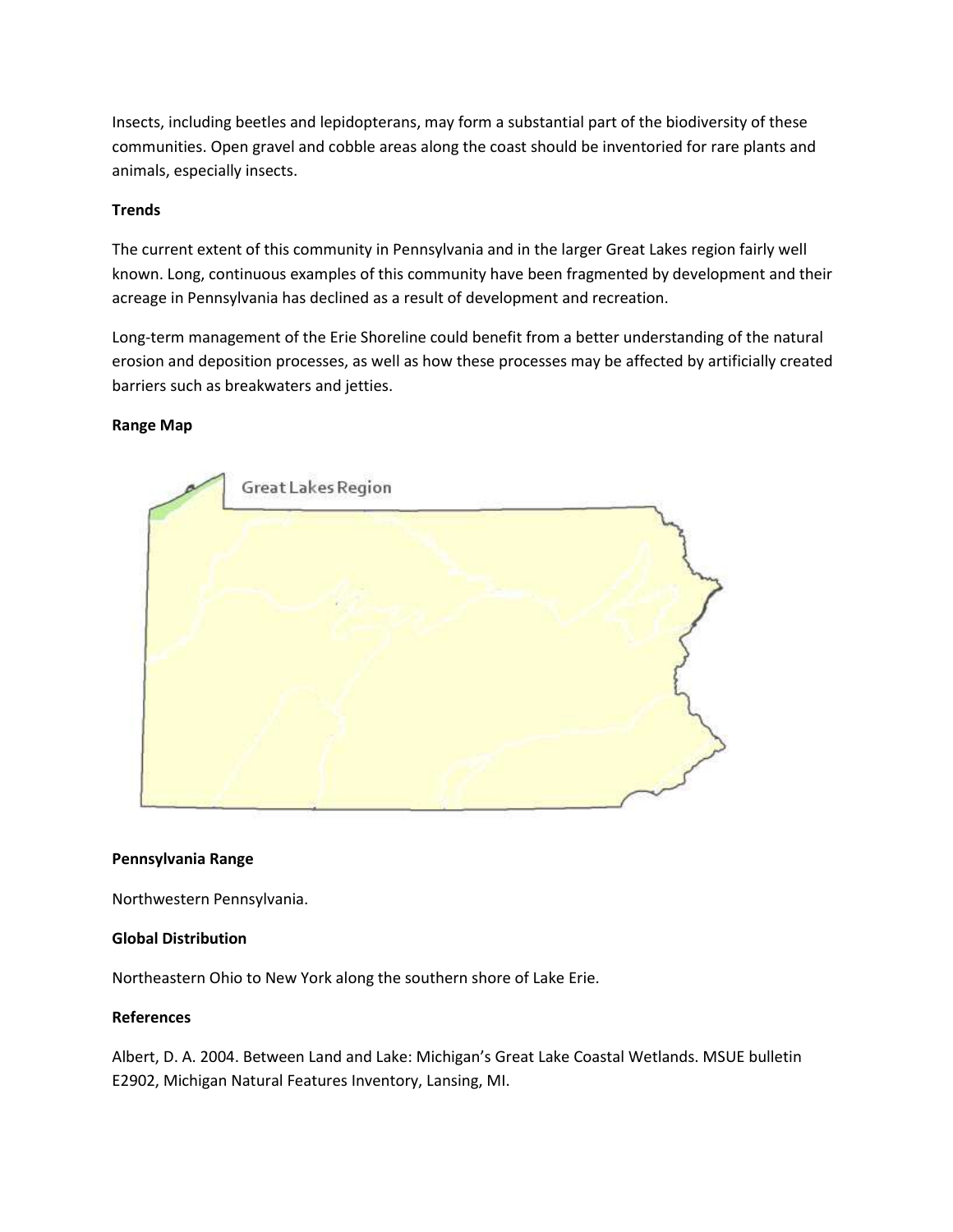Insects, including beetles and lepidopterans, may form a substantial part of the biodiversity of these communities. Open gravel and cobble areas along the coast should be inventoried for rare plants and animals, especially insects.

## **Trends**

The current extent of this community in Pennsylvania and in the larger Great Lakes region fairly well known. Long, continuous examples of this community have been fragmented by development and their acreage in Pennsylvania has declined as a result of development and recreation.

Long-term management of the Erie Shoreline could benefit from a better understanding of the natural erosion and deposition processes, as well as how these processes may be affected by artificially created barriers such as breakwaters and jetties.

# **Range Map**



## **Pennsylvania Range**

Northwestern Pennsylvania.

## **Global Distribution**

Northeastern Ohio to New York along the southern shore of Lake Erie.

#### **References**

Albert, D. A. 2004. Between Land and Lake: Michigan's Great Lake Coastal Wetlands. MSUE bulletin E2902, Michigan Natural Features Inventory, Lansing, MI.